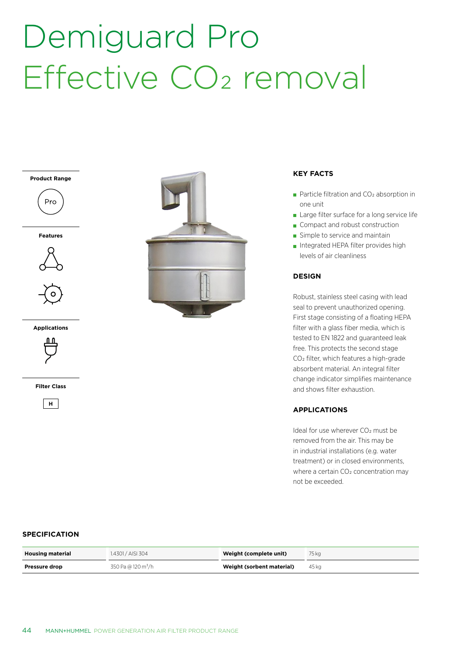# Demiguard Pro Effective CO<sub>2</sub> removal





**Features**



**Applications**



**Filter Class**





#### **KEY FACTS**

- Particle filtration and  $CO<sub>2</sub>$  absorption in one unit
- Large filter surface for a long service life
- Compact and robust construction
- Simple to service and maintain
- Integrated HEPA filter provides high levels of air cleanliness

### **DESIGN**

Robust, stainless steel casing with lead seal to prevent unauthorized opening. First stage consisting of a floating HEPA filter with a glass fiber media, which is tested to EN 1822 and guaranteed leak free. This protects the second stage CO2 filter, which features a high-grade absorbent material. An integral filter change indicator simplifies maintenance and shows filter exhaustion.

### **APPLICATIONS**

Ideal for use wherever CO<sub>2</sub> must be removed from the air. This may be in industrial installations (e.g. water treatment) or in closed environments, where a certain CO<sub>2</sub> concentration may not be exceeded.

#### **SPECIFICATION**

| <b>Housing material</b> | 1.4301 / AISI 304              | Weight (complete unit)    | 75 ka |
|-------------------------|--------------------------------|---------------------------|-------|
| <b>Pressure drop</b>    | 350 Pa @ 120 m <sup>3</sup> /h | Weight (sorbent material) | 45 kg |